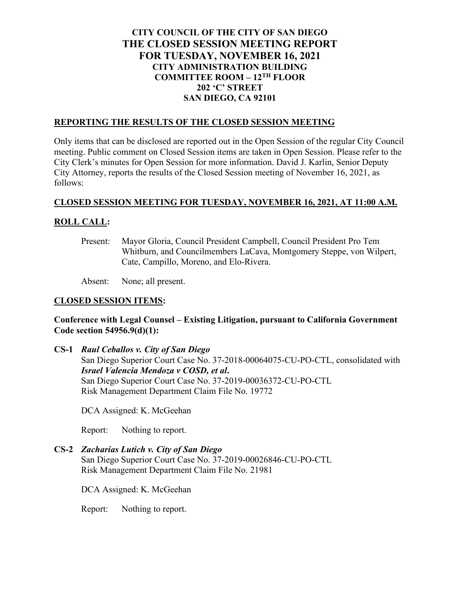# **CITY COUNCIL OF THE CITY OF SAN DIEGO THE CLOSED SESSION MEETING REPORT FOR TUESDAY, NOVEMBER 16, 2021 CITY ADMINISTRATION BUILDING COMMITTEE ROOM – 12TH FLOOR 202 'C' STREET SAN DIEGO, CA 92101**

## **REPORTING THE RESULTS OF THE CLOSED SESSION MEETING**

Only items that can be disclosed are reported out in the Open Session of the regular City Council meeting. Public comment on Closed Session items are taken in Open Session. Please refer to the City Clerk's minutes for Open Session for more information. David J. Karlin, Senior Deputy City Attorney, reports the results of the Closed Session meeting of November 16, 2021, as follows:

#### **CLOSED SESSION MEETING FOR TUESDAY, NOVEMBER 16, 2021, AT 11:00 A.M.**

## **ROLL CALL:**

Present: Mayor Gloria, Council President Campbell, Council President Pro Tem Whitburn, and Councilmembers LaCava, Montgomery Steppe, von Wilpert, Cate, Campillo, Moreno, and Elo-Rivera.

Absent: None; all present.

#### **CLOSED SESSION ITEMS:**

## **Conference with Legal Counsel – Existing Litigation, pursuant to California Government Code section 54956.9(d)(1):**

**CS-1** *Raul Ceballos v. City of San Diego* San Diego Superior Court Case No. 37-2018-00064075-CU-PO-CTL, consolidated with *Israel Valencia Mendoza v COSD, et al***.** San Diego Superior Court Case No. 37-2019-00036372-CU-PO-CTL Risk Management Department Claim File No. 19772

DCA Assigned: K. McGeehan

Report: Nothing to report.

**CS-2** *Zacharias Lutich v. City of San Diego*

San Diego Superior Court Case No. 37-2019-00026846-CU-PO-CTL Risk Management Department Claim File No. 21981

DCA Assigned: K. McGeehan

Report: Nothing to report.